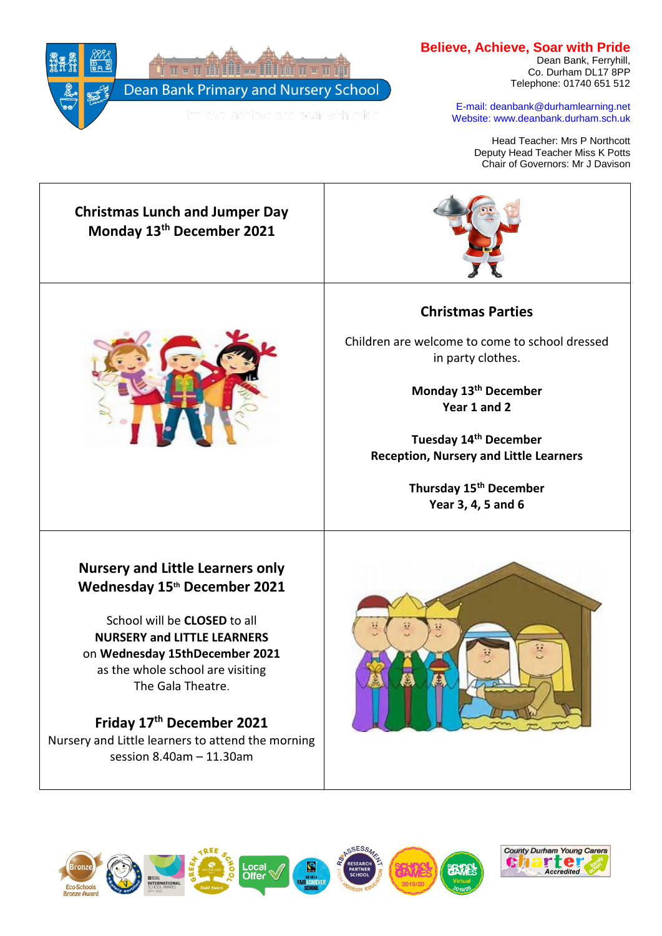

## **Believe, Achieve, Soar with Pride**

Dean Bank, Ferryhill, Co. Durham DL17 8PP Telephone: 01740 651 512

E-mail: deanbank@durhamlearning.net Website: www.deanbank.durham.sch.uk

> Head Teacher: Mrs P Northcott Deputy Head Teacher Miss K Potts Chair of Governors: Mr J Davison